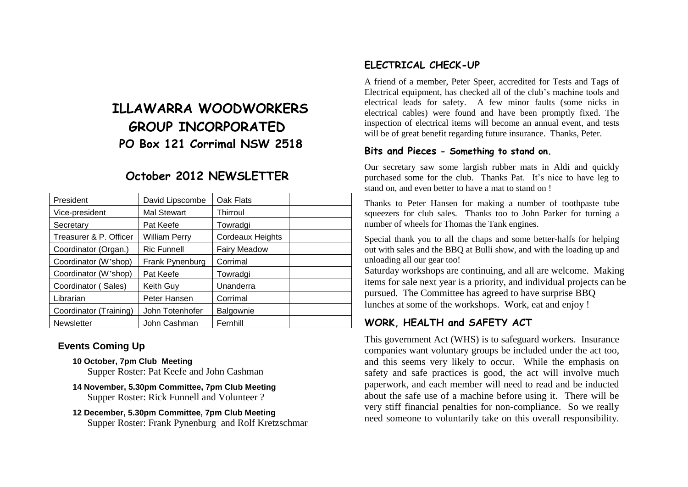# **ILLAWARRA WOODWORKERS GROUP INCORPORATED PO Box 121 Corrimal NSW 2518**

## **October 2012 NEWSLETTER**

| President              | David Lipscombe      | Oak Flats               |  |
|------------------------|----------------------|-------------------------|--|
| Vice-president         | <b>Mal Stewart</b>   | Thirroul                |  |
| Secretary              | Pat Keefe            | Towradgi                |  |
| Treasurer & P. Officer | <b>William Perry</b> | <b>Cordeaux Heights</b> |  |
| Coordinator (Organ.)   | <b>Ric Funnell</b>   | <b>Fairy Meadow</b>     |  |
| Coordinator (W'shop)   | Frank Pynenburg      | Corrimal                |  |
| Coordinator (W'shop)   | Pat Keefe            | Towradgi                |  |
| Coordinator (Sales)    | Keith Guy            | Unanderra               |  |
| Librarian              | Peter Hansen         | Corrimal                |  |
| Coordinator (Training) | John Totenhofer      | Balgownie               |  |
| <b>Newsletter</b>      | John Cashman         | Fernhill                |  |

#### **Events Coming Up**

**10 October, 7pm Club Meeting**

Supper Roster: Pat Keefe and John Cashman

- **14 November, 5.30pm Committee, 7pm Club Meeting** Supper Roster: Rick Funnell and Volunteer ?
- **12 December, 5.30pm Committee, 7pm Club Meeting** Supper Roster: Frank Pynenburg and Rolf Kretzschmar

### **ELECTRICAL CHECK-UP**

A friend of a member, Peter Speer, accredited for Tests and Tags of Electrical equipment, has checked all of the club's machine tools and electrical leads for safety. A few minor faults (some nicks in electrical cables) were found and have been promptly fixed. The inspection of electrical items will become an annual event, and tests will be of great benefit regarding future insurance. Thanks, Peter.

#### **Bits and Pieces - Something to stand on.**

Our secretary saw some largish rubber mats in Aldi and quickly purchased some for the club. Thanks Pat. It's nice to have leg to stand on, and even better to have a mat to stand on !

Thanks to Peter Hansen for making a number of toothpaste tube squeezers for club sales. Thanks too to John Parker for turning a number of wheels for Thomas the Tank engines.

Special thank you to all the chaps and some better-halfs for helping out with sales and the BBQ at Bulli show, and with the loading up and unloading all our gear too!

Saturday workshops are continuing, and all are welcome. Making items for sale next year is a priority, and individual projects can be pursued. The Committee has agreed to have surprise BBQ lunches at some of the workshops. Work, eat and enjoy !

## **WORK, HEALTH and SAFETY ACT**

This government Act (WHS) is to safeguard workers. Insurance companies want voluntary groups be included under the act too, and this seems very likely to occur. While the emphasis on safety and safe practices is good, the act will involve much paperwork, and each member will need to read and be inducted about the safe use of a machine before using it. There will be very stiff financial penalties for non-compliance. So we really need someone to voluntarily take on this overall responsibility.